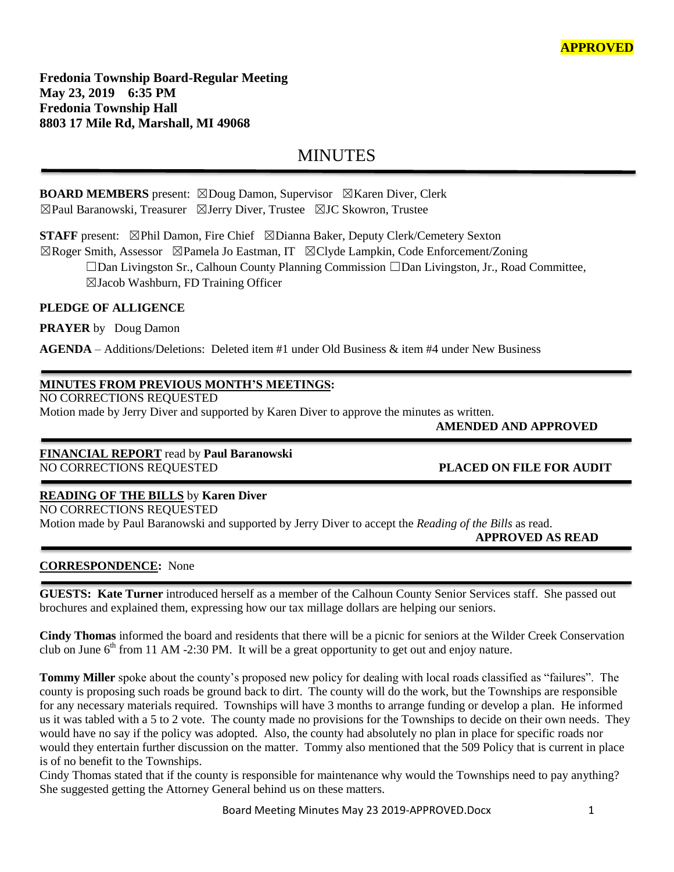**Fredonia Township Board-Regular Meeting May 23, 2019 6:35 PM Fredonia Township Hall 8803 17 Mile Rd, Marshall, MI 49068**

# MINUTES

# **BOARD MEMBERS** present: ⊠Doug Damon, Supervisor ⊠Karen Diver, Clerk ☒Paul Baranowski, Treasurer ☒Jerry Diver, Trustee ☒JC Skowron, Trustee

**STAFF** present: ⊠Phil Damon, Fire Chief ⊠Dianna Baker, Deputy Clerk/Cemetery Sexton

☒Roger Smith, Assessor ☒Pamela Jo Eastman, IT ☒Clyde Lampkin, Code Enforcement/Zoning ☐Dan Livingston Sr., Calhoun County Planning Commission ☐Dan Livingston, Jr., Road Committee, ☒Jacob Washburn, FD Training Officer

## **PLEDGE OF ALLIGENCE**

**PRAYER** by Doug Damon

**AGENDA** – Additions/Deletions: Deleted item #1 under Old Business & item #4 under New Business

# **MINUTES FROM PREVIOUS MONTH'S MEETINGS:**

NO CORRECTIONS REQUESTED

Motion made by Jerry Diver and supported by Karen Diver to approve the minutes as written.

 **AMENDED AND APPROVED**

#### **FINANCIAL REPORT** read by **Paul Baranowski** NO CORRECTIONS REQUESTED **PLACED ON FILE FOR AUDIT**

# **READING OF THE BILLS** by **Karen Diver**

NO CORRECTIONS REQUESTED Motion made by Paul Baranowski and supported by Jerry Diver to accept the *Reading of the Bills* as read.

 **APPROVED AS READ**

# **CORRESPONDENCE:** None

**GUESTS: Kate Turner** introduced herself as a member of the Calhoun County Senior Services staff. She passed out brochures and explained them, expressing how our tax millage dollars are helping our seniors.

**Cindy Thomas** informed the board and residents that there will be a picnic for seniors at the Wilder Creek Conservation club on June  $6<sup>th</sup>$  from 11 AM -2:30 PM. It will be a great opportunity to get out and enjoy nature.

**Tommy Miller** spoke about the county's proposed new policy for dealing with local roads classified as "failures". The county is proposing such roads be ground back to dirt. The county will do the work, but the Townships are responsible for any necessary materials required. Townships will have 3 months to arrange funding or develop a plan. He informed us it was tabled with a 5 to 2 vote. The county made no provisions for the Townships to decide on their own needs. They would have no say if the policy was adopted. Also, the county had absolutely no plan in place for specific roads nor would they entertain further discussion on the matter. Tommy also mentioned that the 509 Policy that is current in place is of no benefit to the Townships.

Cindy Thomas stated that if the county is responsible for maintenance why would the Townships need to pay anything? She suggested getting the Attorney General behind us on these matters.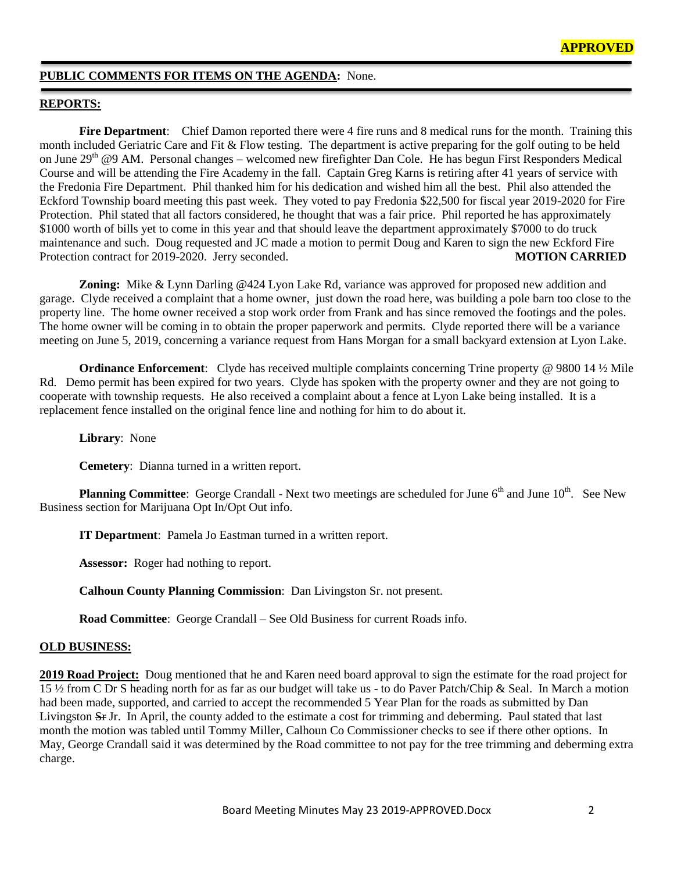## **PUBLIC COMMENTS FOR ITEMS ON THE AGENDA:** None.

#### **REPORTS:**

**Fire Department**: Chief Damon reported there were 4 fire runs and 8 medical runs for the month. Training this month included Geriatric Care and Fit & Flow testing. The department is active preparing for the golf outing to be held on June  $29<sup>th</sup>$  @9 AM. Personal changes – welcomed new firefighter Dan Cole. He has begun First Responders Medical Course and will be attending the Fire Academy in the fall. Captain Greg Karns is retiring after 41 years of service with the Fredonia Fire Department. Phil thanked him for his dedication and wished him all the best. Phil also attended the Eckford Township board meeting this past week. They voted to pay Fredonia \$22,500 for fiscal year 2019-2020 for Fire Protection. Phil stated that all factors considered, he thought that was a fair price. Phil reported he has approximately \$1000 worth of bills yet to come in this year and that should leave the department approximately \$7000 to do truck maintenance and such. Doug requested and JC made a motion to permit Doug and Karen to sign the new Eckford Fire Protection contract for 2019-2020. Jerry seconded. **MOTION CARRIED** 

**Zoning:** Mike & Lynn Darling @424 Lyon Lake Rd, variance was approved for proposed new addition and garage. Clyde received a complaint that a home owner, just down the road here, was building a pole barn too close to the property line. The home owner received a stop work order from Frank and has since removed the footings and the poles. The home owner will be coming in to obtain the proper paperwork and permits. Clyde reported there will be a variance meeting on June 5, 2019, concerning a variance request from Hans Morgan for a small backyard extension at Lyon Lake.

**Ordinance Enforcement:** Clyde has received multiple complaints concerning Trine property @ 9800 14 ½ Mile Rd. Demo permit has been expired for two years. Clyde has spoken with the property owner and they are not going to cooperate with township requests. He also received a complaint about a fence at Lyon Lake being installed. It is a replacement fence installed on the original fence line and nothing for him to do about it.

**Library**: None

**Cemetery**: Dianna turned in a written report.

**Planning Committee**: George Crandall - Next two meetings are scheduled for June 6<sup>th</sup> and June 10<sup>th</sup>. See New Business section for Marijuana Opt In/Opt Out info.

**IT Department**: Pamela Jo Eastman turned in a written report.

Assessor: Roger had nothing to report.

**Calhoun County Planning Commission**: Dan Livingston Sr. not present.

**Road Committee**: George Crandall – See Old Business for current Roads info.

### **OLD BUSINESS:**

**2019 Road Project:** Doug mentioned that he and Karen need board approval to sign the estimate for the road project for 15 ½ from C Dr S heading north for as far as our budget will take us - to do Paver Patch/Chip & Seal. In March a motion had been made, supported, and carried to accept the recommended 5 Year Plan for the roads as submitted by Dan Livingston Sr Jr. In April, the county added to the estimate a cost for trimming and deberming. Paul stated that last month the motion was tabled until Tommy Miller, Calhoun Co Commissioner checks to see if there other options. In May, George Crandall said it was determined by the Road committee to not pay for the tree trimming and deberming extra charge.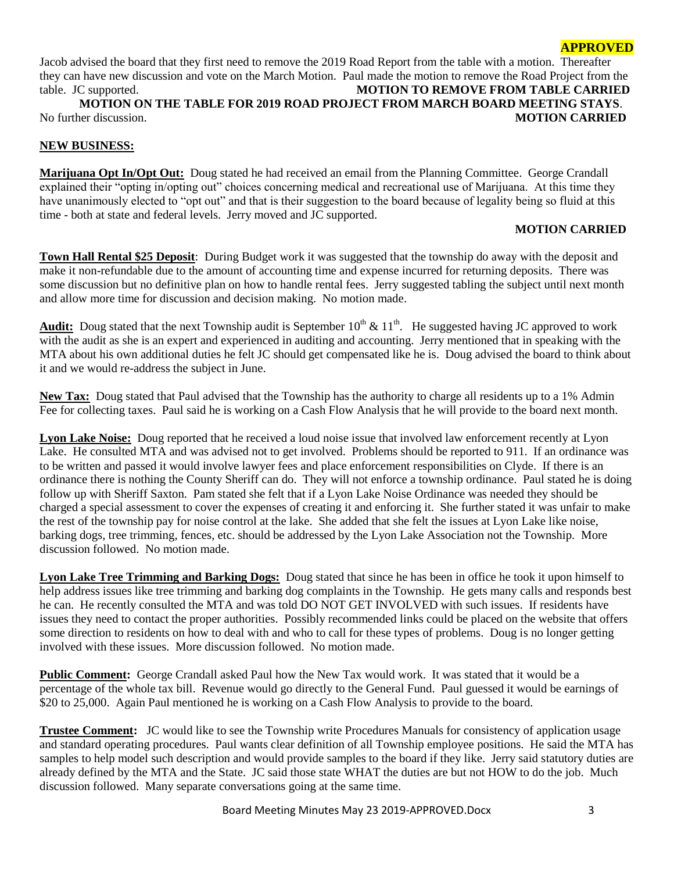## **APPROVED**

Jacob advised the board that they first need to remove the 2019 Road Report from the table with a motion. Thereafter they can have new discussion and vote on the March Motion. Paul made the motion to remove the Road Project from the table. JC supported. **MOTION TO REMOVE FROM TABLE CARRIED MOTION ON THE TABLE FOR 2019 ROAD PROJECT FROM MARCH BOARD MEETING STAYS**.

No further discussion. **MOTION CARRIED**

## **NEW BUSINESS:**

**Marijuana Opt In/Opt Out:** Doug stated he had received an email from the Planning Committee. George Crandall explained their "opting in/opting out" choices concerning medical and recreational use of Marijuana. At this time they have unanimously elected to "opt out" and that is their suggestion to the board because of legality being so fluid at this time - both at state and federal levels. Jerry moved and JC supported.

#### **MOTION CARRIED**

**Town Hall Rental \$25 Deposit**: During Budget work it was suggested that the township do away with the deposit and make it non-refundable due to the amount of accounting time and expense incurred for returning deposits. There was some discussion but no definitive plan on how to handle rental fees. Jerry suggested tabling the subject until next month and allow more time for discussion and decision making. No motion made.

Audit: Doug stated that the next Township audit is September  $10^{th} \& 11^{th}$ . He suggested having JC approved to work with the audit as she is an expert and experienced in auditing and accounting. Jerry mentioned that in speaking with the MTA about his own additional duties he felt JC should get compensated like he is. Doug advised the board to think about it and we would re-address the subject in June.

**New Tax:** Doug stated that Paul advised that the Township has the authority to charge all residents up to a 1% Admin Fee for collecting taxes. Paul said he is working on a Cash Flow Analysis that he will provide to the board next month.

**Lyon Lake Noise:** Doug reported that he received a loud noise issue that involved law enforcement recently at Lyon Lake. He consulted MTA and was advised not to get involved. Problems should be reported to 911. If an ordinance was to be written and passed it would involve lawyer fees and place enforcement responsibilities on Clyde. If there is an ordinance there is nothing the County Sheriff can do. They will not enforce a township ordinance. Paul stated he is doing follow up with Sheriff Saxton. Pam stated she felt that if a Lyon Lake Noise Ordinance was needed they should be charged a special assessment to cover the expenses of creating it and enforcing it. She further stated it was unfair to make the rest of the township pay for noise control at the lake. She added that she felt the issues at Lyon Lake like noise, barking dogs, tree trimming, fences, etc. should be addressed by the Lyon Lake Association not the Township. More discussion followed. No motion made.

**Lyon Lake Tree Trimming and Barking Dogs:** Doug stated that since he has been in office he took it upon himself to help address issues like tree trimming and barking dog complaints in the Township. He gets many calls and responds best he can. He recently consulted the MTA and was told DO NOT GET INVOLVED with such issues. If residents have issues they need to contact the proper authorities. Possibly recommended links could be placed on the website that offers some direction to residents on how to deal with and who to call for these types of problems. Doug is no longer getting involved with these issues. More discussion followed. No motion made.

**Public Comment:** George Crandall asked Paul how the New Tax would work. It was stated that it would be a percentage of the whole tax bill. Revenue would go directly to the General Fund. Paul guessed it would be earnings of \$20 to 25,000. Again Paul mentioned he is working on a Cash Flow Analysis to provide to the board.

**Trustee Comment:** JC would like to see the Township write Procedures Manuals for consistency of application usage and standard operating procedures. Paul wants clear definition of all Township employee positions. He said the MTA has samples to help model such description and would provide samples to the board if they like. Jerry said statutory duties are already defined by the MTA and the State. JC said those state WHAT the duties are but not HOW to do the job. Much discussion followed. Many separate conversations going at the same time.